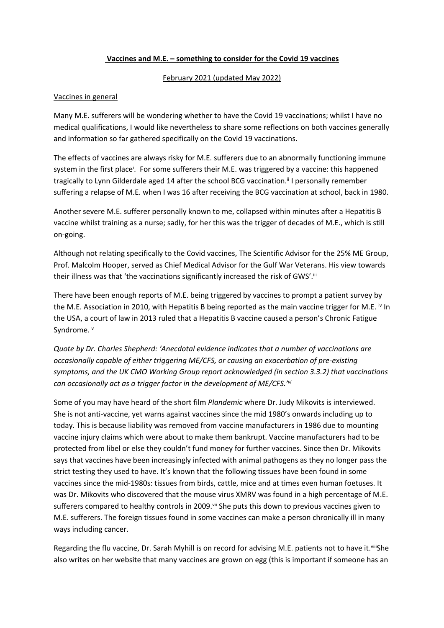### **Vaccines and M.E. – something to consider for the Covid 19 vaccines**

#### February 2021 (updated May 2022)

### Vaccines in general

Many M.E. sufferers will be wondering whether to have the Covid 19 vaccinations; whilst I have no medical qualifications, I would like nevertheless to share some reflections on both vaccines generally and information so far gathered specifically on the Covid 19 vaccinations.

The effects of vaccines are always risky for M.E. sufferers due to an abnormally functioning immune system in the first place<sup>i</sup>. For some sufferers their M.E. was triggered by a vaccine: this happened tragically to Lynn Gilderdale aged 14 after the school BCG vaccination.<sup>ii</sup> I personally remember suffering a relapse of M.E. when I was 16 after receiving the BCG vaccination at school, back in 1980.

Another severe M.E. sufferer personally known to me, collapsed within minutes after a Hepatitis B vaccine whilst training as a nurse; sadly, for her this was the trigger of decades of M.E., which is still on-going.

Although not relating specifically to the Covid vaccines, The Scientific Advisor for the 25% ME Group, Prof. Malcolm Hooper, served as Chief Medical Advisor for the Gulf War Veterans. His view towards their illness was that 'the vaccinations significantly increased the risk of GWS'.<sup>ii</sup>

There have been enough reports of M.E. being triggered by vaccines to prompt a patient survey by the M.E. Association in 2010, with Hepatitis B being reported as the main vaccine trigger for M.E. <sup>iv</sup> In the USA, a court of law in 2013 ruled that a Hepatitis B vaccine caused a person's Chronic Fatigue Syndrome. v

*Quote by Dr. Charles Shepherd: 'Anecdotal evidence indicates that a number of vaccinations are occasionally capable of either triggering ME/CFS, or causing an exacerbation of pre-existing symptoms, and the UK CMO Working Group report acknowledged (in section 3.3.2) that vaccinations can occasionally act as a trigger factor in the development of ME/CFS.'vi*

Some of you may have heard of the short film *Plandemic* where Dr. Judy Mikovits is interviewed. She is not anti-vaccine, yet warns against vaccines since the mid 1980's onwards including up to today. This is because liability was removed from vaccine manufacturers in 1986 due to mounting vaccine injury claims which were about to make them bankrupt. Vaccine manufacturers had to be protected from libel or else they couldn't fund money for further vaccines. Since then Dr. Mikovits says that vaccines have been increasingly infected with animal pathogens as they no longer pass the strict testing they used to have. It's known that the following tissues have been found in some vaccines since the mid-1980s: tissues from birds, cattle, mice and at times even human foetuses. It was Dr. Mikovits who discovered that the mouse virus XMRV was found in a high percentage of M.E. sufferers compared to healthy controls in 2009.<sup>vij</sup> She puts this down to previous vaccines given to M.E. sufferers. The foreign tissues found in some vaccines can make a person chronically ill in many ways including cancer.

Regarding the flu vaccine, Dr. Sarah Myhill is on record for advising M.E. patients not to have it. viiiShe also writes on her website that many vaccines are grown on egg (this is important if someone has an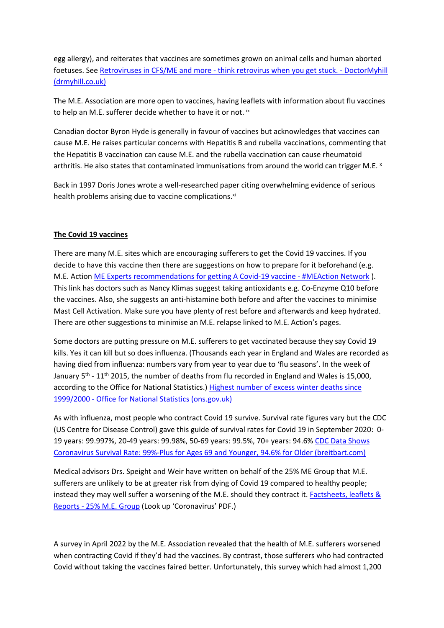egg allergy), and reiterates that vaccines are sometimes grown on animal cells and human aborted foetuses. See [Retroviruses in CFS/ME and more - think retrovirus when you get stuck. - DoctorMyhill](https://www.drmyhill.co.uk/wiki/Retroviruses_in_CFS/ME_and_more_-_think_retrovirus_when_you_get_stuck)  [\(drmyhill.co.uk\)](https://www.drmyhill.co.uk/wiki/Retroviruses_in_CFS/ME_and_more_-_think_retrovirus_when_you_get_stuck)

The M.E. Association are more open to vaccines, having leaflets with information about flu vaccines to help an M.E. sufferer decide whether to have it or not. ix

Canadian doctor Byron Hyde is generally in favour of vaccines but acknowledges that vaccines can cause M.E. He raises particular concerns with Hepatitis B and rubella vaccinations, commenting that the Hepatitis B vaccination can cause M.E. and the rubella vaccination can cause rheumatoid arthritis. He also states that contaminated immunisations from around the world can trigger M.E. ×

Back in 1997 Doris Jones wrote a well-researched paper citing overwhelming evidence of serious health problems arising due to vaccine complications.<sup>xi</sup>

### **The Covid 19 vaccines**

There are many M.E. sites which are encouraging sufferers to get the Covid 19 vaccines. If you decide to have this vaccine then there are suggestions on how to prepare for it beforehand (e.g. M.E. Action [ME Experts recommendations for getting A Covid-19 vaccine - #MEAction Network](https://www.meaction.net/2021/01/15/me-experts-recommendations-for-getting-the-covid-19-vaccine/?mc_cid=297e306d00&mc_eid=UNIQID) ). This link has doctors such as Nancy Klimas suggest taking antioxidants e.g. Co-Enzyme Q10 before the vaccines. Also, she suggests an anti-histamine both before and after the vaccines to minimise Mast Cell Activation. Make sure you have plenty of rest before and afterwards and keep hydrated. There are other suggestions to minimise an M.E. relapse linked to M.E. Action's pages.

Some doctors are putting pressure on M.E. sufferers to get vaccinated because they say Covid 19 kills. Yes it can kill but so does influenza. (Thousands each year in England and Wales are recorded as having died from influenza: numbers vary from year to year due to 'flu seasons'. In the week of January  $5<sup>th</sup>$  - 11<sup>th</sup> 2015, the number of deaths from flu recorded in England and Wales is 15,000, according to the Office for National Statistics.) [Highest number of excess winter deaths since](https://www.ons.gov.uk/peoplepopulationandcommunity/birthsdeathsandmarriages/deaths/articles/highestnumberofexcesswinterdeathssince19992000/2015-11-25)  [1999/2000 - Office for National Statistics \(ons.gov.uk\)](https://www.ons.gov.uk/peoplepopulationandcommunity/birthsdeathsandmarriages/deaths/articles/highestnumberofexcesswinterdeathssince19992000/2015-11-25)

As with influenza, most people who contract Covid 19 survive. Survival rate figures vary but the CDC (US Centre for Disease Control) gave this guide of survival rates for Covid 19 in September 2020: 0- 19 years: 99.997%, 20-49 years: 99.98%, 50-69 years: 99.5%, 70+ years: 94.6% [CDC Data Shows](https://www.breitbart.com/politics/2020/09/25/cdc-data-shows-high-virus-survival-rate-99-plus-for-ages-69-and-younger-94-6-for-older/)  [Coronavirus Survival Rate: 99%-Plus for Ages 69 and Younger, 94.6% for Older \(breitbart.com\)](https://www.breitbart.com/politics/2020/09/25/cdc-data-shows-high-virus-survival-rate-99-plus-for-ages-69-and-younger-94-6-for-older/)

Medical advisors Drs. Speight and Weir have written on behalf of the 25% ME Group that M.E. sufferers are unlikely to be at greater risk from dying of Covid 19 compared to healthy people; instead they may well suffer a worsening of the M.E. should they contract it. [Factsheets, leaflets &](https://25megroup.org/factsheets-and-leaflets)  [Reports - 25% M.E. Group](https://25megroup.org/factsheets-and-leaflets) (Look up 'Coronavirus' PDF.)

A survey in April 2022 by the M.E. Association revealed that the health of M.E. sufferers worsened when contracting Covid if they'd had the vaccines. By contrast, those sufferers who had contracted Covid without taking the vaccines faired better. Unfortunately, this survey which had almost 1,200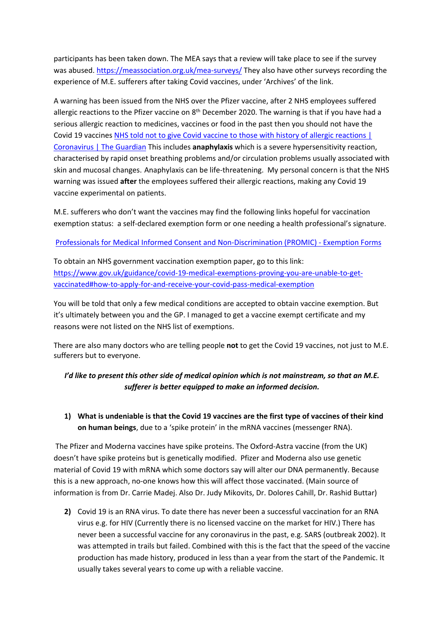participants has been taken down. The MEA says that a review will take place to see if the survey was abused. <https://meassociation.org.uk/mea-surveys/>They also have other surveys recording the experience of M.E. sufferers after taking Covid vaccines, under 'Archives' of the link.

A warning has been issued from the NHS over the Pfizer vaccine, after 2 NHS employees suffered allergic reactions to the Pfizer vaccine on  $8<sup>th</sup>$  December 2020. The warning is that if you have had a serious allergic reaction to medicines, vaccines or food in the past then you should not have the Covid 19 vaccines [NHS told not to give Covid vaccine to those with history of allergic reactions |](https://www.theguardian.com/world/2020/dec/09/pfizer-covid-vaccine-nhs-extreme-allergy-sufferers-regulators-reaction)  [Coronavirus | The Guardian](https://www.theguardian.com/world/2020/dec/09/pfizer-covid-vaccine-nhs-extreme-allergy-sufferers-regulators-reaction) This includes **anaphylaxis** which is a severe hypersensitivity reaction, characterised by rapid onset breathing problems and/or circulation problems usually associated with skin and mucosal changes. Anaphylaxis can be life-threatening. My personal concern is that the NHS warning was issued **after** the employees suffered their allergic reactions, making any Covid 19 vaccine experimental on patients.

M.E. sufferers who don't want the vaccines may find the following links hopeful for vaccination exemption status: a self-declared exemption form or one needing a health professional's signature.

[Professionals for Medical Informed Consent and Non-Discrimination \(PROMIC\) - Exemption Forms](https://www.promic.info/exemption-forms)

To obtain an NHS government vaccination exemption paper, go to this link: [https://www.gov.uk/guidance/covid-19-medical-exemptions-proving-you-are-unable-to-get](https://www.gov.uk/guidance/covid-19-medical-exemptions-proving-you-are-unable-to-get-vaccinated#how-to-apply-for-and-receive-your-covid-pass-medical-exemption)[vaccinated#how-to-apply-for-and-receive-your-covid-pass-medical-exemption](https://www.gov.uk/guidance/covid-19-medical-exemptions-proving-you-are-unable-to-get-vaccinated#how-to-apply-for-and-receive-your-covid-pass-medical-exemption)

You will be told that only a few medical conditions are accepted to obtain vaccine exemption. But it's ultimately between you and the GP. I managed to get a vaccine exempt certificate and my reasons were not listed on the NHS list of exemptions.

There are also many doctors who are telling people **not** to get the Covid 19 vaccines, not just to M.E. sufferers but to everyone.

## *I'd like to present this other side of medical opinion which is not mainstream, so that an M.E. sufferer is better equipped to make an informed decision.*

**1) What is undeniable is that the Covid 19 vaccines are the first type of vaccines of their kind on human beings**, due to a 'spike protein' in the mRNA vaccines (messenger RNA).

 The Pfizer and Moderna vaccines have spike proteins. The Oxford-Astra vaccine (from the UK) doesn't have spike proteins but is genetically modified. Pfizer and Moderna also use genetic material of Covid 19 with mRNA which some doctors say will alter our DNA permanently. Because this is a new approach, no-one knows how this will affect those vaccinated. (Main source of information is from Dr. Carrie Madej. Also Dr. Judy Mikovits, Dr. Dolores Cahill, Dr. Rashid Buttar)

**2)** Covid 19 is an RNA virus. To date there has never been a successful vaccination for an RNA virus e.g. for HIV (Currently there is no licensed vaccine on the market for HIV.) There has never been a successful vaccine for any coronavirus in the past, e.g. SARS (outbreak 2002). It was attempted in trails but failed. Combined with this is the fact that the speed of the vaccine production has made history, produced in less than a year from the start of the Pandemic. It usually takes several years to come up with a reliable vaccine.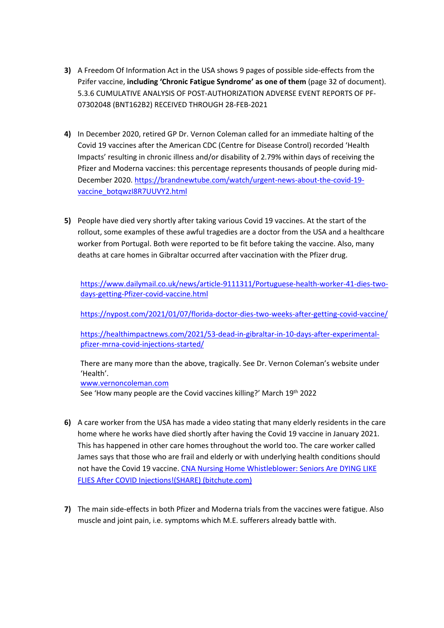- **3)** A Freedom Of Information Act in the USA shows 9 pages of possible side-effects from the Pzifer vaccine, **including 'Chronic Fatigue Syndrome' as one of them** (page 32 of document). 5.3.6 CUMULATIVE ANALYSIS OF POST-AUTHORIZATION ADVERSE EVENT REPORTS OF PF-07302048 (BNT162B2) RECEIVED THROUGH 28-FEB-2021
- **4)** In December 2020, retired GP Dr. Vernon Coleman called for an immediate halting of the Covid 19 vaccines after the American CDC (Centre for Disease Control) recorded 'Health Impacts' resulting in chronic illness and/or disability of 2.79% within days of receiving the Pfizer and Moderna vaccines: this percentage represents thousands of people during mid-December 2020. [https://brandnewtube.com/watch/urgent-news-about-the-covid-19](https://brandnewtube.com/watch/urgent-news-about-the-covid-19-vaccine_botqwzI8R7UUVY2.html) [vaccine\\_botqwzI8R7UUVY2.html](https://brandnewtube.com/watch/urgent-news-about-the-covid-19-vaccine_botqwzI8R7UUVY2.html)
- **5)** People have died very shortly after taking various Covid 19 vaccines. At the start of the rollout, some examples of these awful tragedies are a doctor from the USA and a healthcare worker from Portugal. Both were reported to be fit before taking the vaccine. Also, many deaths at care homes in Gibraltar occurred after vaccination with the Pfizer drug.

[https://www.dailymail.co.uk/news/article-9111311/Portuguese-health-worker-41-dies-two](https://www.dailymail.co.uk/news/article-9111311/Portuguese-health-worker-41-dies-two-days-getting-Pfizer-covid-vaccine.html)[days-getting-Pfizer-covid-vaccine.html](https://www.dailymail.co.uk/news/article-9111311/Portuguese-health-worker-41-dies-two-days-getting-Pfizer-covid-vaccine.html)

<https://nypost.com/2021/01/07/florida-doctor-dies-two-weeks-after-getting-covid-vaccine/>

[https://healthimpactnews.com/2021/53-dead-in-gibraltar-in-10-days-after-experimental](https://healthimpactnews.com/2021/53-dead-in-gibraltar-in-10-days-after-experimental-pfizer-mrna-covid-injections-started/)[pfizer-mrna-covid-injections-started/](https://healthimpactnews.com/2021/53-dead-in-gibraltar-in-10-days-after-experimental-pfizer-mrna-covid-injections-started/)

There are many more than the above, tragically. See Dr. Vernon Coleman's website under 'Health'.

[www.vernoncoleman.com](http://www.vernoncoleman.com/)

See 'How many people are the Covid vaccines killing?' March 19th 2022

- **6)** A care worker from the USA has made a video stating that many elderly residents in the care home where he works have died shortly after having the Covid 19 vaccine in January 2021. This has happened in other care homes throughout the world too. The care worker called James says that those who are frail and elderly or with underlying health conditions should not have the Covid 19 vaccine. [CNA Nursing Home Whistleblower: Seniors Are DYING LIKE](https://www.bitchute.com/video/AR5BZpoAlzQR/)  [FLIES After COVID Injections!\(SHARE\) \(bitchute.com\)](https://www.bitchute.com/video/AR5BZpoAlzQR/)
- **7)** The main side-effects in both Pfizer and Moderna trials from the vaccines were fatigue. Also muscle and joint pain, i.e. symptoms which M.E. sufferers already battle with.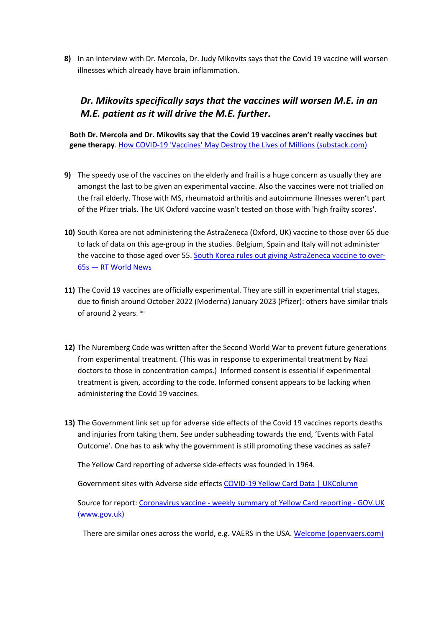**8)** In an interview with Dr. Mercola, Dr. Judy Mikovits says that the Covid 19 vaccine will worsen illnesses which already have brain inflammation.

# *Dr. Mikovits specifically says that the vaccines will worsen M.E. in an M.E. patient as it will drive the M.E. further.*

**Both Dr. Mercola and Dr. Mikovits say that the Covid 19 vaccines aren't really vaccines but gene therapy**. [How COVID-19 'Vaccines' May Destroy the Lives of Millions \(substack.com\)](https://takecontrol.substack.com/p/covid-19-vaccine-gene-therapy?utm_source=url)

- **9)** The speedy use of the vaccines on the elderly and frail is a huge concern as usually they are amongst the last to be given an experimental vaccine. Also the vaccines were not trialled on the frail elderly. Those with MS, rheumatoid arthritis and autoimmune illnesses weren't part of the Pfizer trials. The UK Oxford vaccine wasn't tested on those with 'high frailty scores'.
- **10)** South Korea are not administering the AstraZeneca (Oxford, UK) vaccine to those over 65 due to lack of data on this age-group in the studies. Belgium, Spain and Italy will not administer the vaccine to those aged over 55. [South Korea rules out giving AstraZeneca vaccine to over-](https://www.rt.com/news/515582-south-korea-astrazeneca-vaccine-over-65s/)[65s — RT World News](https://www.rt.com/news/515582-south-korea-astrazeneca-vaccine-over-65s/)
- **11)** The Covid 19 vaccines are officially experimental. They are still in experimental trial stages, due to finish around October 2022 (Moderna) January 2023 (Pfizer): others have similar trials of around 2 years. xii
- **12)** The Nuremberg Code was written after the Second World War to prevent future generations from experimental treatment. (This was in response to experimental treatment by Nazi doctors to those in concentration camps.) Informed consent is essential if experimental treatment is given, according to the code. Informed consent appears to be lacking when administering the Covid 19 vaccines.
- **13)** The Government link set up for adverse side effects of the Covid 19 vaccines reports deaths and injuries from taking them. See under subheading towards the end, 'Events with Fatal Outcome'. One has to ask why the government is still promoting these vaccines as safe?

The Yellow Card reporting of adverse side-effects was founded in 1964.

Government sites with Adverse side effects [COVID-19 Yellow Card Data | UKColumn](https://yellowcard.ukcolumn.org/yellow-card-reports)

Source for report: Coronavirus vaccine - weekly summary of Yellow Card reporting - GOV.UK (www.gov.uk)

There are similar ones across the world, e.g. VAERS in the USA. [Welcome \(openvaers.com\)](https://openvaers.com/index.php)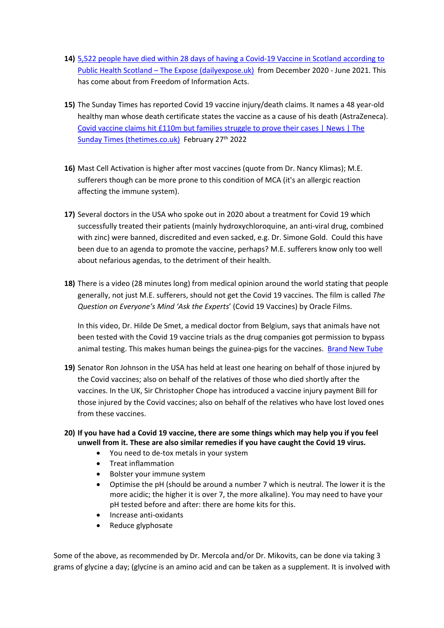- **14)** [5,522 people have died within 28 days of having a Covid-19 Vaccine in Scotland according to](https://dailyexpose.uk/2021/07/18/5522-people-have-died-within-28-days-of-having-a-covid-19-vaccine-in-scotland-according-to-public-health-scotland/comment-page-2/)  [Public Health Scotland – The Expose \(dailyexpose.uk\)](https://dailyexpose.uk/2021/07/18/5522-people-have-died-within-28-days-of-having-a-covid-19-vaccine-in-scotland-according-to-public-health-scotland/comment-page-2/) from December 2020 - June 2021. This has come about from Freedom of Information Acts.
- **15)** The Sunday Times has reported Covid 19 vaccine injury/death claims. It names a 48 year-old healthy man whose death certificate states the vaccine as a cause of his death (AstraZeneca). [Covid vaccine claims hit £110m but families struggle to prove their cases | News | The](https://www.thetimes.co.uk/article/covid-vaccine-claims-hit-110m-but-families-struggle-to-prove-their-cases-bkwdsmzq9)  [Sunday Times \(thetimes.co.uk\)](https://www.thetimes.co.uk/article/covid-vaccine-claims-hit-110m-but-families-struggle-to-prove-their-cases-bkwdsmzq9) February 27<sup>th</sup> 2022
- **16)** Mast Cell Activation is higher after most vaccines (quote from Dr. Nancy Klimas); M.E. sufferers though can be more prone to this condition of MCA (it's an allergic reaction affecting the immune system).
- **17)** Several doctors in the USA who spoke out in 2020 about a treatment for Covid 19 which successfully treated their patients (mainly hydroxychloroquine, an anti-viral drug, combined with zinc) were banned, discredited and even sacked, e.g. Dr. Simone Gold. Could this have been due to an agenda to promote the vaccine, perhaps? M.E. sufferers know only too well about nefarious agendas, to the detriment of their health.
- **18)** There is a video (28 minutes long) from medical opinion around the world stating that people generally, not just M.E. sufferers, should not get the Covid 19 vaccines. The film is called *The Question on Everyone's Mind 'Ask the Experts*' (Covid 19 Vaccines) by Oracle Films.

In this video, Dr. Hilde De Smet, a medical doctor from Belgium, says that animals have not been tested with the Covid 19 vaccine trials as the drug companies got permission to bypass animal testing. This makes human beings the guinea-pigs for the vaccines. [Brand New Tube](https://brandnewtube.com/)

- **19)** Senator Ron Johnson in the USA has held at least one hearing on behalf of those injured by the Covid vaccines; also on behalf of the relatives of those who died shortly after the vaccines. In the UK, Sir Christopher Chope has introduced a vaccine injury payment Bill for those injured by the Covid vaccines; also on behalf of the relatives who have lost loved ones from these vaccines.
- **20) If you have had a Covid 19 vaccine, there are some things which may help you if you feel unwell from it. These are also similar remedies if you have caught the Covid 19 virus.**
	- You need to de-tox metals in your system
	- Treat inflammation
	- Bolster your immune system
	- Optimise the pH (should be around a number 7 which is neutral. The lower it is the more acidic; the higher it is over 7, the more alkaline). You may need to have your pH tested before and after: there are home kits for this.
	- Increase anti-oxidants
	- Reduce glyphosate

Some of the above, as recommended by Dr. Mercola and/or Dr. Mikovits, can be done via taking 3 grams of glycine a day; (glycine is an amino acid and can be taken as a supplement. It is involved with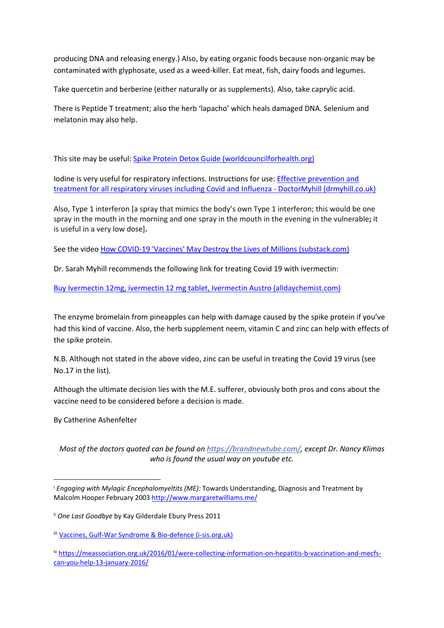producing DNA and releasing energy.) Also, by eating organic foods because non-organic may be contaminated with glyphosate, used as a weed-killer. Eat meat, fish, dairy foods and legumes.

Take quercetin and berberine (either naturally or as supplements). Also, take caprylic acid.

There is Peptide T treatment; also the herb 'lapacho' which heals damaged DNA. Selenium and melatonin may also help.

This site may be useful: [Spike Protein Detox Guide \(worldcouncilforhealth.org\)](https://worldcouncilforhealth.org/resources/spike-protein-detox-guide/)

Iodine is very useful for respiratory infections. Instructions for use: [Effective prevention and](https://www.drmyhill.co.uk/wiki/Effective_prevention_and_treatment_for_all_respiratory_viruses_including_Covid_and_Influenza)  [treatment for all respiratory viruses including Covid and Influenza - DoctorMyhill \(drmyhill.co.uk\)](https://www.drmyhill.co.uk/wiki/Effective_prevention_and_treatment_for_all_respiratory_viruses_including_Covid_and_Influenza)

Also, Type 1 interferon [a spray that mimics the body's own Type 1 interferon; this would be one spray in the mouth in the morning and one spray in the mouth in the evening in the vulnerable**;** it is useful in a very low dose]**.** 

See the video [How COVID-19 'Vaccines' May Destroy the Lives of Millions \(substack.com\)](https://takecontrol.substack.com/p/covid-19-vaccine-gene-therapy?utm_source=url)

Dr. Sarah Myhill recommends the following link for treating Covid 19 with ivermectin:

[Buy Ivermectin 12mg, ivermectin 12 mg tablet, Ivermectin Austro \(alldaychemist.com\)](https://www.alldaychemist.com/ivermectin-12mg-austro.html)

The enzyme bromelain from pineapples can help with damage caused by the spike protein if you've had this kind of vaccine. Also, the herb supplement neem, vitamin C and zinc can help with effects of the spike protein.

N.B. Although not stated in the above video, zinc can be useful in treating the Covid 19 virus (see No.17 in the list).

Although the ultimate decision lies with the M.E. sufferer, obviously both pros and cons about the vaccine need to be considered before a decision is made.

By Catherine Ashenfelter

*Most of the doctors quoted can be found on<https://brandnewtube.com/>, except Dr. Nancy Klimas who is found the usual way on youtube etc.*

<sup>i</sup> *Engaging with Mylagic Encephalomyeltits (ME):* Towards Understanding, Diagnosis and Treatment by Malcolm Hooper February 2003 <http://www.margaretwilliams.me/>

ii *One Last Goodbye* by Kay Gilderdale Ebury Press 2011

iii [Vaccines, Gulf-War Syndrome & Bio-defence \(i-sis.org.uk\)](https://www.i-sis.org.uk/VGWS.php)

iv [https://meassociation.org.uk/2016/01/were-collecting-information-on-hepatitis-b-vaccination-and-mecfs](https://meassociation.org.uk/2016/01/were-collecting-information-on-hepatitis-b-vaccination-and-mecfs-can-you-help-13-january-2016/)[can-you-help-13-january-2016/](https://meassociation.org.uk/2016/01/were-collecting-information-on-hepatitis-b-vaccination-and-mecfs-can-you-help-13-january-2016/)